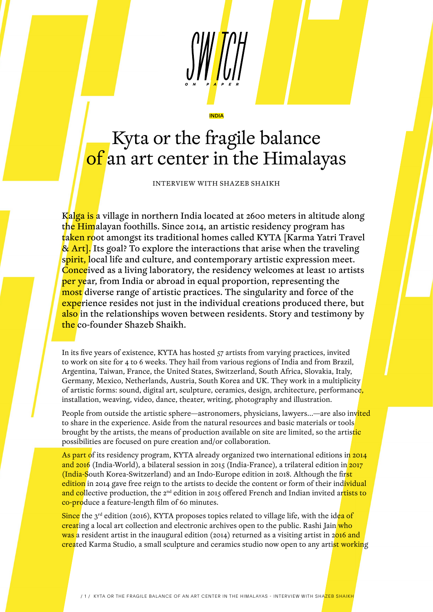## Kyta or the fragile balance of an art center in the Himalayas

INDIA

INTERVIEW WITH SHAZEB SHAIKH

Kalga is a village in northern India located at 2600 meters in altitude along the Himalayan foothills. Since 2014, an artistic residency program has taken root amongst its traditional homes called KYTA [Karma Yatri Travel] & Art]. Its goal? To explore the interactions that arise when the traveling spirit, local life and culture, and contemporary artistic expression meet. Conceived as a living laboratory, the residency welcomes at least 10 artists per year, from India or abroad in equal proportion, representing the most diverse range of artistic practices. The singularity and force of the experience resides not just in the individual creations produced there, but also in the relationships woven between residents. Story and testimony by the co-founder Shazeb Shaikh.

In its five years of existence, KYTA has hosted 57 artists from varying practices, invited to work on site for 4 to 6 weeks. They hail from various regions of India and from Brazil, Argentina, Taiwan, France, the United States, Switzerland, South Africa, Slovakia, Italy, Germany, Mexico, Netherlands, Austria, South Korea and UK. They work in a multiplicity of artistic forms: sound, digital art, sculpture, ceramics, design, architecture, performance, installation, weaving, video, dance, theater, writing, photography and illustration.

People from outside the artistic sphere—astronomers, physicians, lawyers...—are also invited to share in the experience. Aside from the natural resources and basic materials or tools brought by the artists, the means of production available on site are limited, so the artistic possibilities are focused on pure creation and/or collaboration.

As part of its residency program, KYTA already organized two international editions in 2014 and 2016 (India-World), a bilateral session in 2015 (India-France), a trilateral edition in 2017 (India-South Korea-Switzerland) and an Indo-Europe edition in 2018. Although the first edition in 2014 gave free reign to the artists to decide the content or form of their individual and collective production, the 2<sup>nd</sup> edition in 2015 offered French and Indian invited artists to co-produce a feature-length film of 60 minutes.

Since the  $3^{rd}$  edition (2016), KYTA proposes topics related to village life, with the idea of creating a local art collection and electronic archives open to the public. Rashi Jain who was a resident artist in the inaugural edition (2014) returned as a visiting artist in 2016 and created Karma Studio, a small sculpture and ceramics studio now open to any artist working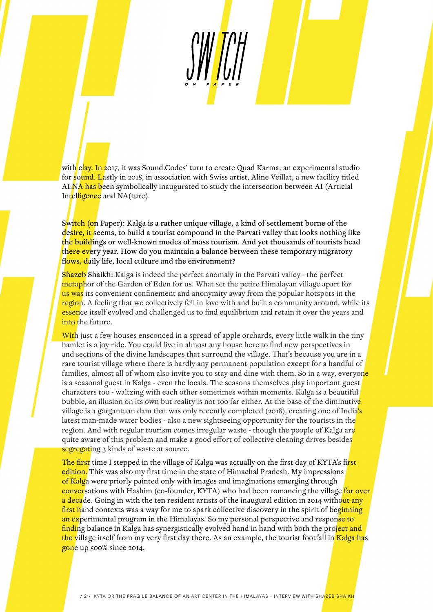with clay. In 2017, it was Sound.Codes' turn to create Quad Karma, an experimental studio for <mark>sound. L</mark>astly in 2018, in association with Swiss artist, Aline Veillat, a new facility titled AI.NA has been symbolically inaugurated to study the intersection between AI (Articial Intelligence and NA(ture).

Switch (on Paper): Kalga is a rather unique village, a kind of settlement borne of the desire, it seems, to build a tourist compound in the Parvati valley that looks nothing like the buildings or well-known modes of mass tourism. And yet thousands of tourists head there every year. How do you maintain a balance between these temporary migratory flows, daily life, local culture and the environment?

**Shazeb** Shaikh: Kalga is indeed the perfect anomaly in the Parvati valley - the perfect metaphor of the Garden of Eden for us. What set the petite Himalayan village apart for us was its convenient confinement and anonymity away from the popular hotspots in the region. A feeling that we collectively fell in love with and built a community around, while its essence itself evolved and challenged us to find equilibrium and retain it over the years and into the future.

With just a few houses ensconced in a spread of apple orchards, every little walk in the tiny hamlet is a joy ride. You could live in almost any house here to find new perspectives in and sections of the divine landscapes that surround the village. That's because you are in a rare tourist village where there is hardly any permanent population except for a handful of families, almost all of whom also invite you to stay and dine with them. So in a way, everyon<mark>e</mark> is a seasonal guest in Kalga - even the locals. The seasons themselves play important guest characters too - waltzing with each other sometimes within moments. Kalga is a beautiful bubble, an illusion on its own but reality is not too far either. At the base of the diminutive village is a gargantuan dam that was only recently completed (2018), creating one of India's latest man-made water bodies - also a new sightseeing opportunity for the tourists in the region. And with regular tourism comes irregular waste - though the people of Kalga are quite aware of this problem and make a good effort of collective cleaning drives besides segregating 3 kinds of waste at source.

The first time I stepped in the village of Kalga was actually on the first day of KYTA's first edition. This was also my first time in the state of Himachal Pradesh. My impressions of Kalga were priorly painted only with images and imaginations emerging through conversations with Hashim (co-founder, KYTA) who had been romancing the village for over a decade. Going in with the ten resident artists of the inaugural edition in 2014 without any first hand contexts was a way for me to spark collective discovery in the spirit of beginning an experimental program in the Himalayas. So my personal perspective and respon<mark>se to</mark> finding balance in Kalga has synergistically evolved hand in hand with both the project and the village itself from my very first day there. As an example, the tourist footfall in Kalga has gone up 500% since 2014.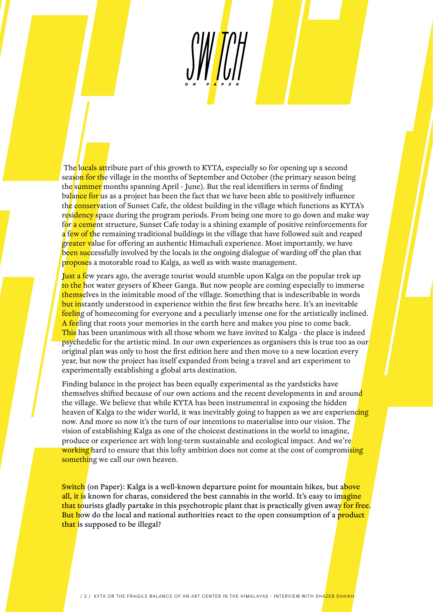The locals attribute part of this growth to KYTA, especially so for opening up a second season for the village in the months of September and October (the primary season being the summer months spanning April - June). But the real identifiers in terms of finding balance for us as a project has been the fact that we have been able to positively influence the conservation of Sunset Cafe, the oldest building in the village which functions as KYTA's residency space during the program periods. From being one more to go down and make way for a cement structure, Sunset Cafe today is a shining example of positive reinforcements for a few of the remaining traditional buildings in the village that have followed suit and reaped greater value for offering an authentic Himachali experience. Most importantly, we have been successfully involved by the locals in the ongoing dialogue of warding off the plan that proposes a motorable road to Kalga, as well as with waste management.

Just a few years ago, the average tourist would stumble upon Kalga on the popular trek up to the hot water geysers of Kheer Ganga. But now people are coming especially to immerse themselves in the inimitable mood of the village. Something that is indescribable in words but instantly understood in experience within the first few breaths here. It's an inevitable feeling of homecoming for everyone and a peculiarly intense one for the artistically inclined. A feeling that roots your memories in the earth here and makes you pine to come back. This has been unanimous with all those whom we have invited to Kalga - the place is indeed psychedelic for the artistic mind. In our own experiences as organisers this is true too as our original plan was only to host the first edition here and then move to a new location every year, but now the project has itself expanded from being a travel and art experiment to experimentally establishing a global arts destination.

Finding balance in the project has been equally experimental as the yardsticks have themselves shifted because of our own actions and the recent developments in and around the village. We believe that while KYTA has been instrumental in exposing the hidden heaven of Kalga to the wider world, it was inevitably going to happen as we are experiencing now. And more so now it's the turn of our intentions to materialise into our vision. The vision of establishing Kalga as one of the choicest destinations in the world to imagine, produce or experience art with long-term sustainable and ecological impact. And we're working hard to ensure that this lofty ambition does not come at the cost of compromising something we call our own heaven.

Switch (on Paper): Kalga is a well-known departure point for mountain hikes, but above all, it is known for charas, considered the best cannabis in the world. It's easy to imagine that tourists gladly partake in this psychotropic plant that is practically given away for free. But how do the local and national authorities react to the open consumption of a product that is supposed to be illegal?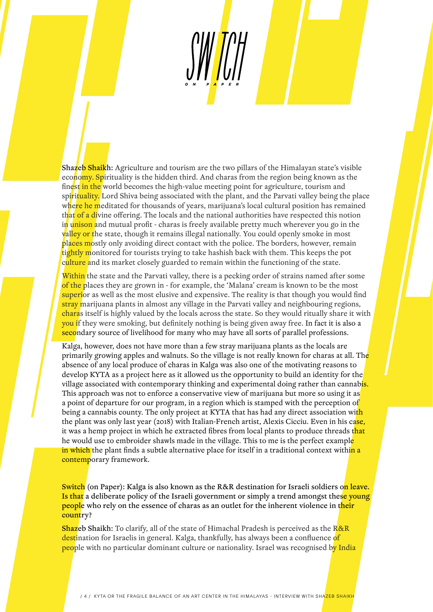Shazeb Shaikh: Agriculture and tourism are the two pillars of the Himalayan state's visible economy. Spirituality is the hidden third. And charas from the region being known as the finest in the world becomes the high-value meeting point for agriculture, tourism and spirituality. Lord Shiva being associated with the plant, and the Parvati valley being the place where he meditated for thousands of years, marijuana's local cultural position has remained that of a divine offering. The locals and the national authorities have respected this notion in unison and mutual profit - charas is freely available pretty much wherever you go in the valley or the state, though it remains illegal nationally. You could openly smoke in most places mostly only avoiding direct contact with the police. The borders, however, remain tightly monitored for tourists trying to take hashish back with them. This keeps the pot culture and its market closely guarded to remain within the functioning of the state.

Within the state and the Parvati valley, there is a pecking order of strains named after some of the places they are grown in - for example, the 'Malana' cream is known to be the most superior as well as the most elusive and expensive. The reality is that though you would find stray marijuana plants in almost any village in the Parvati valley and neighbouring regions, charas itself is highly valued by the locals across the state. So they would ritually share it with you if they were smoking, but definitely nothing is being given away free. In fact it is also a secondary source of livelihood for many who may have all sorts of parallel professions.

Kalga, however, does not have more than a few stray marijuana plants as the locals are primarily growing apples and walnuts. So the village is not really known for charas at all. The absence of any local produce of charas in Kalga was also one of the motivating reasons to develop KYTA as a project here as it allowed us the opportunity to build an identity for the village associated with contemporary thinking and experimental doing rather than cannabis. This approach was not to enforce a conservative view of marijuana but more so using it as a point of departure for our program, in a region which is stamped with the perception of being a cannabis county. The only project at KYTA that has had any direct association wi<mark>th</mark> the plant was only last year (2018) with Italian-French artist, Alexis Cicciu. Even in his case, it was a hemp project in which he extracted fibres from local plants to produce threads that he would use to embroider shawls made in the village. This to me is the perfect example in which the plant finds a subtle alternative place for itself in a traditional context withi<mark>n a</mark> contemporary framework.

Switch (on Paper): Kalga is also known as the R&R destination for Israeli soldiers on leave. Is that a deliberate policy of the Israeli government or simply a trend amongst these young people who rely on the essence of charas as an outlet for the inherent violence in their country?

Shazeb Shaikh: To clarify, all of the state of Himachal Pradesh is perceived as the R&R destination for Israelis in general. Kalga, thankfully, has always been a confluence of people with no particular dominant culture or nationality. Israel was recognised by India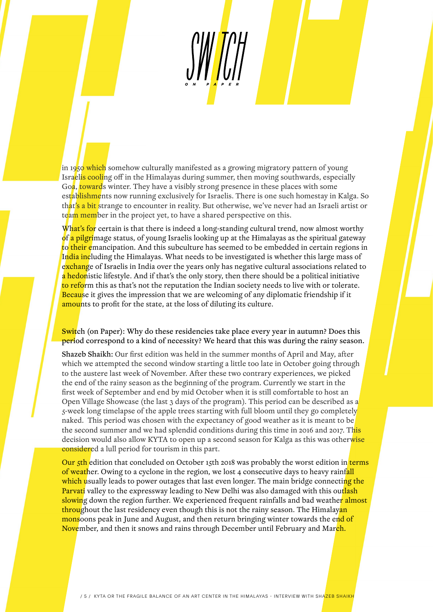in 1950 which somehow culturally manifested as a growing migratory pattern of young Israelis cooling off in the Himalayas during summer, then moving southwards, especially Goa, towards winter. They have a visibly strong presence in these places with some establishments now running exclusively for Israelis. There is one such homestay in Kalga. So th<mark>at's a bit</mark> strange to encounter in reality. But otherwise, we've never had an Israeli artist or team member in the project yet, to have a shared perspective on this.

What's for certain is that there is indeed a long-standing cultural trend, now almost worthy of a pilgrimage status, of young Israelis looking up at the Himalayas as the spiritual gateway to their emancipation. And this subculture has seemed to be embedded in certain regions in India including the Himalayas. What needs to be investigated is whether this large mass of exchange of Israelis in India over the years only has negative cultural associations related to a hedonistic lifestyle. And if that's the only story, then there should be a political initiative to reform this as that's not the reputation the Indian society needs to live with or tolerate. Because it gives the impression that we are welcoming of any diplomatic friendship if it amounts to profit for the state, at the loss of diluting its culture.

Switch (on Paper): Why do these residencies take place every year in autumn? Does this period correspond to a kind of necessity? We heard that this was during the rainy season.

Shazeb Shaikh: Our first edition was held in the summer months of April and May, after which we attempted the second window starting a little too late in October going through to the austere last week of November. After these two contrary experiences, we picked the end of the rainy season as the beginning of the program. Currently we start in the first week of September and end by mid October when it is still comfortable to host an Open Village Showcase (the last 3 days of the program). This period can be described as a 5-week long timelapse of the apple trees starting with full bloom until they go completely naked. This period was chosen with the expectancy of good weather as it is meant to be the second summer and we had splendid conditions during this time in 2016 and 2017. This decision would also allow KYTA to open up a second season for Kalga as this was otherwise considered a lull period for tourism in this part.

Our 5th edition that concluded on October 15th 2018 was probably the worst edition in terms of weather. Owing to a cyclone in the region, we lost 4 consecutive days to heavy rainfall which usually leads to power outages that last even longer. The main bridge connecting the Parvati valley to the expressway leading to New Delhi was also damaged with this outlash slowing down the region further. We experienced frequent rainfalls and bad weather almost throughout the last residency even though this is not the rainy season. The Himalayan monsoons peak in June and August, and then return bringing winter towards the end of November, and then it snows and rains through December until February and March.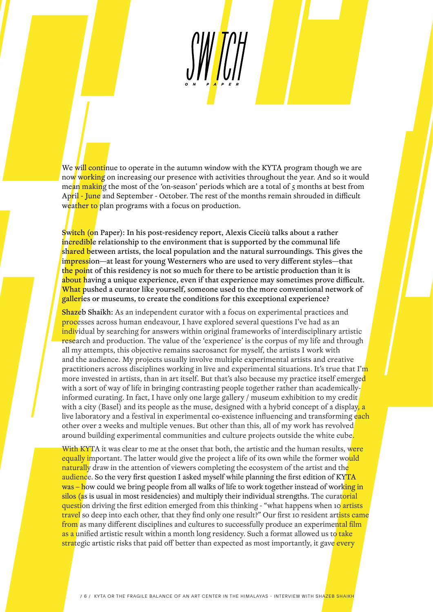We will continue to operate in the autumn window with the KYTA program though we are now working on increasing our presence with activities throughout the year. And so it would mean making the most of the 'on-season' periods which are a total of 5 months at best from April - June and September - October. The rest of the months remain shrouded in difficult weather to plan programs with a focus on production.

Switch (on Paper): In his post-residency report, Alexis Cicciù talks about a rather incredible relationship to the environment that is supported by the communal life shared between artists, the local population and the natural surroundings. This gives the impression—at least for young Westerners who are used to very different styles—that the point of this residency is not so much for there to be artistic production than it is about having a unique experience, even if that experience may sometimes prove difficult. What pushed a curator like yourself, someone used to the more conventional network of galleries or museums, to create the conditions for this exceptional experience?

Shazeb Shaikh: As an independent curator with a focus on experimental practices and processes across human endeavour, I have explored several questions I've had as an individual by searching for answers within original frameworks of interdisciplinary artistic research and production. The value of the 'experience' is the corpus of my life and through all my attempts, this objective remains sacrosanct for myself, the artists I work with and the audience. My projects usually involve multiple experimental artists and creative practitioners across disciplines working in live and experimental situations. It's true that I'm more invested in artists, than in art itself. But that's also because my practice itself emerged with a sort of way of life in bringing contrasting people together rather than academicallyinformed curating. In fact, I have only one large gallery / museum exhibition to my credit with a city (Basel) and its people as the muse, designed with a hybrid concept of a display, a live laboratory and a festival in experimental co-existence influencing and transforming each other over 2 weeks and multiple venues. But other than this, all of my work has revolved around building experimental communities and culture projects outside the white cube.

With KYTA it was clear to me at the onset that both, the artistic and the human results, were equally important. The latter would give the project a life of its own while the former would naturally draw in the attention of viewers completing the ecosystem of the artist and the audience. So the very first question I asked myself while planning the first edition of KYTA was – how could we bring people from all walks of life to work together instead of working in silos (as is usual in most residencies) and multiply their individual strengths. The curatorial question driving the first edition emerged from this thinking - "what happens when 10 artists" travel so deep into each other, that they find only one result?" Our first 10 resident artists came from as many different disciplines and cultures to successfully produce an experimental film as a unified artistic result within a month long residency. Such a format allowed us to take strategic artistic risks that paid off better than expected as most importantly, it gave every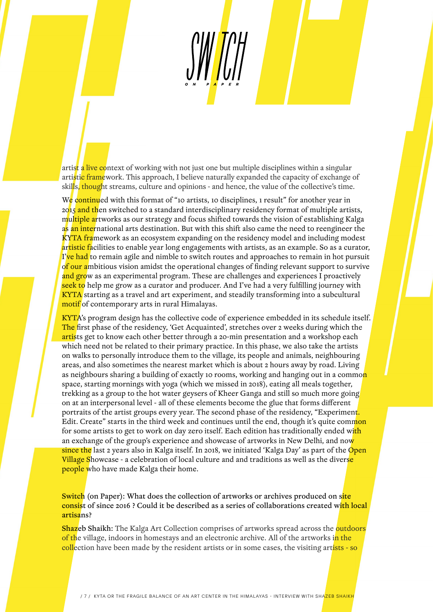artist a live context of working with not just one but multiple disciplines within a singular artistic framework. This approach, I believe naturally expanded the capacity of exchange of skills, thought streams, culture and opinions - and hence, the value of the collective's time.

We continued with this format of "10 artists, 10 disciplines, 1 result" for another year in 2015 and then switched to a standard interdisciplinary residency format of multiple artists, multiple artworks as our strategy and focus shifted towards the vision of establishing Kalga as an international arts destination. But with this shift also came the need to reengineer the KYTA framework as an ecosystem expanding on the residency model and including modest artistic facilities to enable year long engagements with artists, as an example. So as a curator, I've had to remain agile and nimble to switch routes and approaches to remain in hot pursuit of our ambitious vision amidst the operational changes of finding relevant support to survive and grow as an experimental program. These are challenges and experiences I proactively seek to help me grow as a curator and producer. And I've had a very fulfilling journey with KYTA starting as a travel and art experiment, and steadily transforming into a subcultural motif of contemporary arts in rural Himalayas.

KYTA's program design has the collective code of experience embedded in its schedule itself. The first phase of the residency, 'Get Acquainted', stretches over 2 weeks during which the artists get to know each other better through a 20-min presentation and a workshop each which need not be related to their primary practice. In this phase, we also take the artists on walks to personally introduce them to the village, its people and animals, neighbouring areas, and also sometimes the nearest market which is about 2 hours away by road. Living as neighbours sharing a building of exactly 10 rooms, working and hanging out in a common space, starting mornings with yoga (which we missed in 2018), eating all meals together, trekking as a group to the hot water geysers of Kheer Ganga and still so much more going on at an interpersonal level - all of these elements become the glue that forms different portraits of the artist groups every year. The second phase of the residency, "Experiment. Edit. Create" starts in the third week and continues until the end, though it's quite common for some artists to get to work on day zero itself. Each edition has traditionally ended with an exchange of the group's experience and showcase of artworks in New Delhi, and now since the last 2 years also in Kalga itself. In 2018, we initiated 'Kalga Day' as part of the Open Village Showcase - a celebration of local culture and and traditions as well as the diverse people who have made Kalga their home.

Switch (on Paper): What does the collection of artworks or archives produced on site consist of since 2016 ? Could it be described as a series of collaborations created with local artisans?

Shazeb Shaikh: The Kalga Art Collection comprises of artworks spread across the outdoors of the village, indoors in homestays and an electronic archive. All of the artworks in the collection have been made by the resident artists or in some cases, the visiting artists - so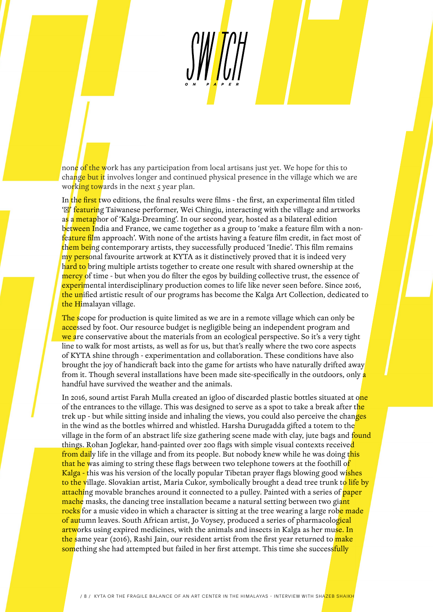none of the work has any participation from local artisans just yet. We hope for this to change but it involves longer and continued physical presence in the village which we are working towards in the next 5 year plan.

In the first two editions, the final results were films - the first, an experimental film titled **'** featuring Taiwanese performer, Wei Chingju, interacting with the village and artworks as a metaphor of 'Kalga-Dreaming'. In our second year, hosted as a bilateral edition between India and France, we came together as a group to 'make a feature film with a nonfeature film approach'. With none of the artists having a feature film credit, in fact most of them being contemporary artists, they successfully produced 'Inedie'. This film remains my personal favourite artwork at KYTA as it distinctively proved that it is indeed very hard to bring multiple artists together to create one result with shared ownership at the mercy of time - but when you do filter the egos by building collective trust, the essence of experimental interdisciplinary production comes to life like never seen before. Since 2016, the unified artistic result of our programs has become the Kalga Art Collection, dedicated to the Himalayan village.

The scope for production is quite limited as we are in a remote village which can only be accessed by foot. Our resource budget is negligible being an independent program and we are conservative about the materials from an ecological perspective. So it's a very tight line to walk for most artists, as well as for us, but that's really where the two core aspects of KYTA shine through - experimentation and collaboration. These conditions have also brought the joy of handicraft back into the game for artists who have naturally drifted away from it. Though several installations have been made site-specifically in the outdoors, only a handful have survived the weather and the animals.

In 2016, sound artist Farah Mulla created an igloo of discarded plastic bottles situated at one of the entrances to the village. This was designed to serve as a spot to take a break after the trek up - but while sitting inside and inhaling the views, you could also perceive the changes in the wind as the bottles whirred and whistled. Harsha Durugadda gifted a totem to the village in the form of an abstract life size gathering scene made with clay, jute bags and found things. Rohan Joglekar, hand-painted over 200 flags with simple visual contexts received from daily life in the village and from its people. But nobody knew while he was doing this that he was aiming to string these flags between two telephone towers at the foothill of Kalga - this was his version of the locally popular Tibetan prayer flags blowing good wishes to the village. Slovakian artist, Maria Cukor, symbolically brought a dead tree trunk to life by attaching movable branches around it connected to a pulley. Painted with a series of paper mache masks, the dancing tree installation became a natural setting between two giant <mark>rocks</mark> for a music video in which a character is sitting at the tree wearing a large rob<mark>e made</mark> of autumn leaves. South African artist, Jo Voysey, produced a series of pharmacological artworks using expired medicines, with the animals and insects in Kalga as her muse. In the same year (2016), Rashi Jain, our resident artist from the first year returned to make something she had attempted but failed in her first attempt. This time she successfully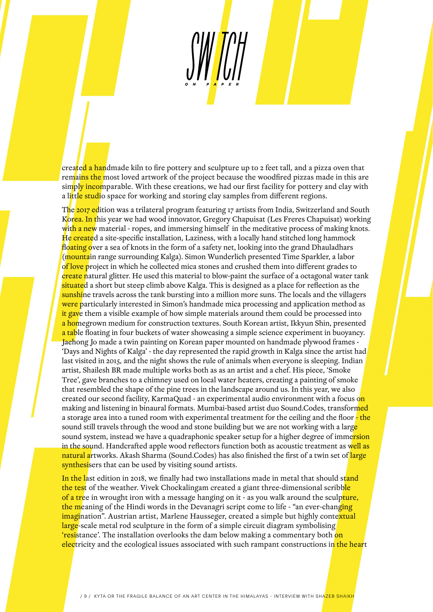created a handmade kiln to fire pottery and sculpture up to 2 feet tall, and a pizza oven that remains the most loved artwork of the project because the woodfired pizzas made in this are simply incomparable. With these creations, we had our first facility for pottery and clay with a little studio space for working and storing clay samples from different regions.

The 2017 edition was a trilateral program featuring 17 artists from India, Switzerland and South Korea. In this year we had wood innovator, Gregory Chapuisat (Les Freres Chapuisat) working with a new material - ropes, and immersing himself in the meditative process of making knots. He created a site-specific installation, Laziness, with a locally hand stitched long hammock floating over a sea of knots in the form of a safety net, looking into the grand Dhauladhars (mountain range surrounding Kalga). Simon Wunderlich presented Time Sparkler, a labor of love project in which he collected mica stones and crushed them into different grades to create natural glitter. He used this material to blow-paint the surface of a octagonal water tank situated a short but steep climb above Kalga. This is designed as a place for reflection as the sunshine travels across the tank bursting into a million more suns. The locals and the villagers were particularly interested in Simon's handmade mica processing and application method as it gave them a visible example of how simple materials around them could be processed into a homegrown medium for construction textures. South Korean artist, Ikkyun Shin, presented a table floating in four buckets of water showcasing a simple science experiment in buoyancy. Jaehong Jo made a twin painting on Korean paper mounted on handmade plywood frames - 'Days and Nights of Kalga' - the day represented the rapid growth in Kalga since the artist had last visited in 2015, and the night shows the rule of animals when everyone is sleeping. Indian artist, Shailesh BR made multiple works both as as an artist and a chef. His piece, 'Smoke Tree', gave branches to a chimney used on local water heaters, creating a painting of smoke that resembled the shape of the pine trees in the landscape around us. In this year, we also created our second facility, KarmaQuad - an experimental audio environment with a focus o<mark>n</mark> making and listening in binaural formats. Mumbai-based artist duo Sound.Codes, transformed a storage area into a tuned room with experimental treatment for the ceiling and the floor - the sound still travels through the wood and stone building but we are not working with a large sound system, instead we have a quadraphonic speaker setup for a higher degree of immersion in the sound. Handcrafted apple wood reflectors function both as acoustic treatment as well as natural artworks. Akash Sharma (Sound.Codes) has also finished the first of a twin set of large synthesisers that can be used by visiting sound artists.

In the last edition in 2018, we finally had two installations made in metal that should stand the test of the weather. Vivek Chockalingam created a giant three-dimensional scribble of a tree in wrought iron with a message hanging on it - as you walk around the sculpture, the meaning of the Hindi words in the Devanagri script come to life - "an ever-changing" imagination". Austrian artist, Marlene Hausseger, created a simple but highly contextual large-scale metal rod sculpture in the form of a simple circuit diagram symbolising 'resistance'. The installation overlooks the dam below making a commentary both on electricity and the ecological issues associated with such rampant constructions in the heart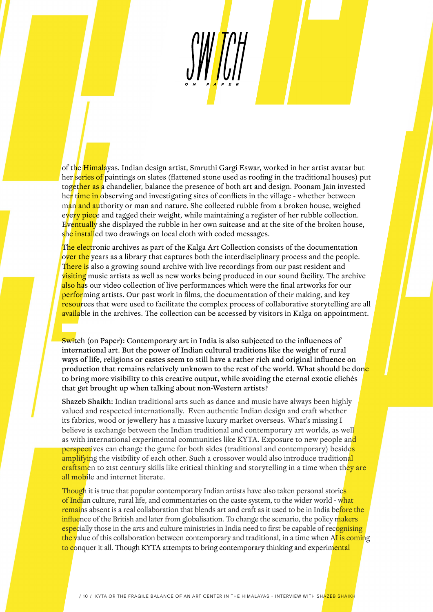of the Himalayas. Indian design artist, Smruthi Gargi Eswar, worked in her artist avatar but her series of paintings on slates (flattened stone used as roofing in the traditional houses) put together as a chandelier, balance the presence of both art and design. Poonam Jain invested her time in observing and investigating sites of conflicts in the village - whether between man and authority or man and nature. She collected rubble from a broken house, weighed every piece and tagged their weight, while maintaining a register of her rubble collection. Eventually she displayed the rubble in her own suitcase and at the site of the broken house, she installed two drawings on local cloth with coded messages.

The electronic archives as part of the Kalga Art Collection consists of the documentation over the years as a library that captures both the interdisciplinary process and the people. There is also a growing sound archive with live recordings from our past resident and visiting music artists as well as new works being produced in our sound facility. The archive also has our video collection of live performances which were the final artworks for our **perfor**ming artists. Our past work in films, the documentation of their making, and key resources that were used to facilitate the complex process of collaborative storytelling are all available in the archives. The collection can be accessed by visitors in Kalga on appointment.

Switch (on Paper): Contemporary art in India is also subjected to the influences of international art. But the power of Indian cultural traditions like the weight of rural ways of life, religions or castes seem to still have a rather rich and original influence on production that remains relatively unknown to the rest of the world. What should be done to bring more visibility to this creative output, while avoiding the eternal exotic clichés that get brought up when talking about non-Western artists?

Shazeb Shaikh: Indian traditional arts such as dance and music have always been highly valued and respected internationally. Even authentic Indian design and craft whether its fabrics, wood or jewellery has a massive luxury market overseas. What's missing I believe is exchange between the Indian traditional and contemporary art worlds, as well as with international experimental communities like KYTA. Exposure to new people and perspectives can change the game for both sides (traditional and contemporary) besides amplifying the visibility of each other. Such a crossover would also introduce traditional craftsmen to 21st century skills like critical thinking and storytelling in a time when they are all mobile and internet literate.

Though it is true that popular contemporary Indian artists have also taken personal stories of Indian culture, rural life, and commentaries on the caste system, to the wider world - what remains absent is a real collaboration that blends art and craft as it used to be in India before the influence of the British and later from globalisation. To change the scenario, the policy makers especially those in the arts and culture ministries in India need to first be capable of recognising the value of this collaboration between contemporary and traditional, in a time when AI is coming to conquer it all. Though KYTA attempts to bring contemporary thinking and experimental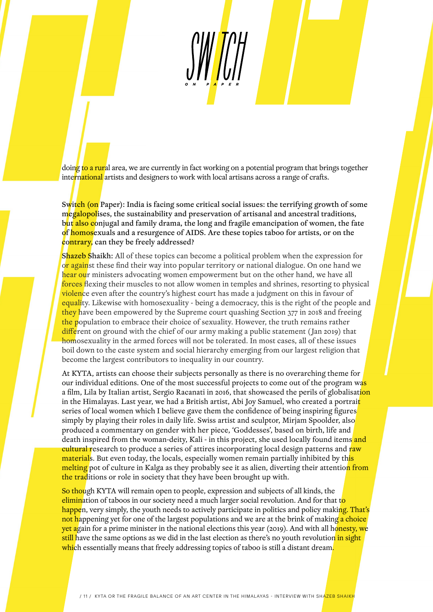doing to a rural area, we are currently in fact working on a potential program that brings together international artists and designers to work with local artisans across a range of crafts.

Switch (on Paper): India is facing some critical social issues: the terrifying growth of some megalopolises, the sustainability and preservation of artisanal and ancestral traditions, but also conjugal and family drama, the long and fragile emancipation of women, the fate of homosexuals and a resurgence of AIDS. Are these topics taboo for artists, or on the contrary, can they be freely addressed?

Shazeb Shaikh: All of these topics can become a political problem when the expression for or against these find their way into popular territory or national dialogue. On one hand we hear our ministers advocating women empowerment but on the other hand, we have all forces flexing their muscles to not allow women in temples and shrines, resorting to physical violence even after the country's highest court has made a judgment on this in favour of equality. Likewise with homosexuality - being a democracy, this is the right of the people and they have been empowered by the Supreme court quashing Section 377 in 2018 and freeing the population to embrace their choice of sexuality. However, the truth remains rather different on ground with the chief of our army making a public statement (Jan 2019) that homosexuality in the armed forces will not be tolerated. In most cases, all of these issues boil down to the caste system and social hierarchy emerging from our largest religion that become the largest contributors to inequality in our country.

At KYTA, artists can choose their subjects personally as there is no overarching theme for our individual editions. One of the most successful projects to come out of the program was a film, Lila by Italian artist, Sergio Racanati in 2016, that showcased the perils of globalisation in the Himalayas. Last year, we had a British artist, Abi Joy Samuel, who created a portrait series of local women which I believe gave them the confidence of being inspiring figures simply by playing their roles in daily life. Swiss artist and sculptor, Mirjam Spoolder, also produced a commentary on gender with her piece, 'Goddesses', based on birth, life and death inspired from the woman-deity, Kali - in this project, she used locally found items and cultural research to produce a series of attires incorporating local design patterns and raw materials. But even today, the locals, especially women remain partially inhibited by th<mark>is</mark> melting pot of culture in Kalga as they probably see it as alien, diverting their attention from the traditions or role in society that they have been brought up with.

So though KYTA will remain open to people, expression and subjects of all kinds, the elimination of taboos in our society need a much larger social revolution. And for that to happen, very simply, the youth needs to actively participate in politics and policy making. That's not happening yet for one of the largest populations and we are at the brink of making a choice yet again for a prime minister in the national elections this year (2019). And with all honesty, we still have the same options as we did in the last election as there's no youth revolution in sight which essentially means that freely addressing topics of taboo is still a distant dream.